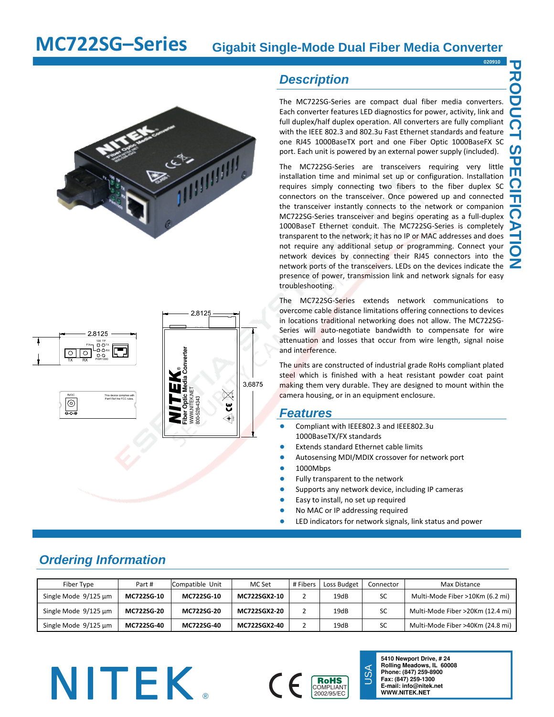**020910**

**PRODUCT SPECIFICATION** 

**CIFIC** 

3P m

**RODUCT** 



## *Description*

The MC722SG‐Series are compact dual fiber media converters. Each converter features LED diagnostics for power, activity, link and full duplex/half duplex operation. All converters are fully compliant with the IEEE 802.3 and 802.3u Fast Ethernet standards and feature one RJ45 1000BaseTX port and one Fiber Optic 1000BaseFX SC port. Each unit is powered by an external power supply (included).

The MC722SG-Series are transceivers requiring very little installation time and minimal set up or configuration. Installation requires simply connecting two fibers to the fiber duplex SC connectors on the transceiver. Once powered up and connected the transceiver instantly connects to the network or companion MC722SG‐Series transceiver and begins operating as a full‐duplex 1000BaseT Ethernet conduit. The MC722SG‐Series is completely transparent to the network; it has no IP or MAC addresses and does not require any additional setup or programming. Connect your network devices by connecting their RJ45 connectors into the network ports of the transceivers. LEDs on the devices indicate the presence of power, transmission link and network signals for easy troubleshooting.

The MC722SG‐Series extends network communications to overcome cable distance limitations offering connections to devices in locations traditional networking does not allow. The MC722SG‐ Series will auto-negotiate bandwidth to compensate for wire attenuation and losses that occur from wire length, signal noise and interference.

The units are constructed of industrial grade RoHs compliant plated steel which is finished with a heat resistant powder coat paint making them very durable. They are designed to mount within the camera housing, or in an equipment enclosure.

### *Features*

- Compliant with IEEE802.3 and IEEE802.3u 1000BaseTX/FX standards
- **Extends standard Ethernet cable limits**
- Autosensing MDI/MDIX crossover for network port
- 1000Mbps
- Fully transparent to the network
- Supports any network device, including IP cameras

USA

- Easy to install, no set up required
- No MAC or IP addressing required
- LED indicators for network signals, link status and power

| Fiber Type                | Part#      | Compatible Unit | MC Set       | # Fibers | Loss Budget | Connector | Max Distance                     |
|---------------------------|------------|-----------------|--------------|----------|-------------|-----------|----------------------------------|
| Single Mode 9/125 µm      | MC722SG-10 | MC722SG-10      | MC722SGX2-10 |          | 19dB        | SC        | Multi-Mode Fiber >10Km (6.2 mi)  |
| Single Mode 9/125 µm      | MC722SG-20 | MC722SG-20      | MC722SGX2-20 |          | 19dB        | SC        | Multi-Mode Fiber >20Km (12.4 mi) |
| Single Mode $9/125 \mu m$ | MC722SG-40 | MC722SG-40      | MC722SGX2-40 |          | 19dB        | SC        | Multi-Mode Fiber >40Km (24.8 mi) |

# *Ordering Information*





**5410 Newport Drive, # 24 Rolling Meadows, IL 60008 Phone: (847) 259-8900 Fax: (847) 259-1300**